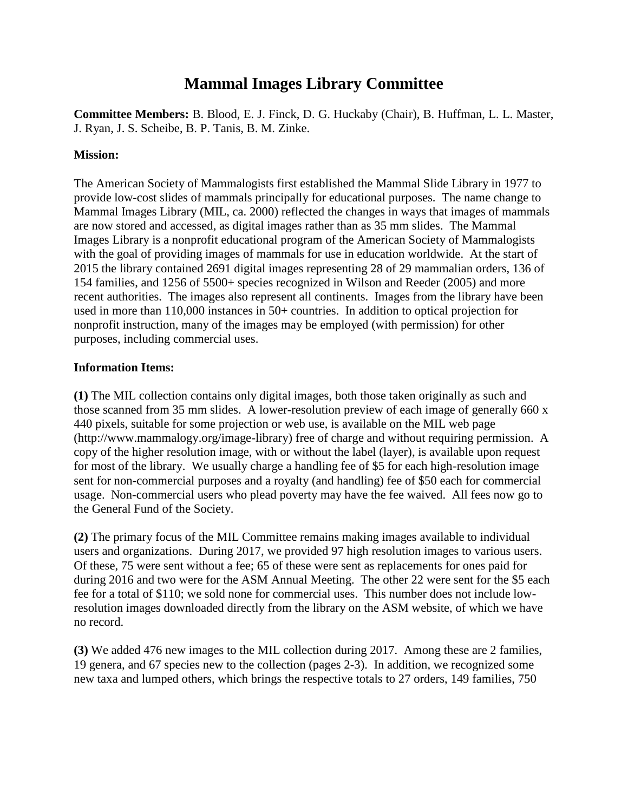# **Mammal Images Library Committee**

**Committee Members:** B. Blood, E. J. Finck, D. G. Huckaby (Chair), B. Huffman, L. L. Master, J. Ryan, J. S. Scheibe, B. P. Tanis, B. M. Zinke.

### **Mission:**

The American Society of Mammalogists first established the Mammal Slide Library in 1977 to provide low-cost slides of mammals principally for educational purposes. The name change to Mammal Images Library (MIL, ca. 2000) reflected the changes in ways that images of mammals are now stored and accessed, as digital images rather than as 35 mm slides. The Mammal Images Library is a nonprofit educational program of the American Society of Mammalogists with the goal of providing images of mammals for use in education worldwide. At the start of 2015 the library contained 2691 digital images representing 28 of 29 mammalian orders, 136 of 154 families, and 1256 of 5500+ species recognized in Wilson and Reeder (2005) and more recent authorities. The images also represent all continents. Images from the library have been used in more than 110,000 instances in 50+ countries. In addition to optical projection for nonprofit instruction, many of the images may be employed (with permission) for other purposes, including commercial uses.

### **Information Items:**

**(1)** The MIL collection contains only digital images, both those taken originally as such and those scanned from 35 mm slides. A lower-resolution preview of each image of generally 660 x 440 pixels, suitable for some projection or web use, is available on the MIL web page (http://www.mammalogy.org/image-library) free of charge and without requiring permission. A copy of the higher resolution image, with or without the label (layer), is available upon request for most of the library. We usually charge a handling fee of \$5 for each high-resolution image sent for non-commercial purposes and a royalty (and handling) fee of \$50 each for commercial usage. Non-commercial users who plead poverty may have the fee waived. All fees now go to the General Fund of the Society.

**(2)** The primary focus of the MIL Committee remains making images available to individual users and organizations. During 2017, we provided 97 high resolution images to various users. Of these, 75 were sent without a fee; 65 of these were sent as replacements for ones paid for during 2016 and two were for the ASM Annual Meeting. The other 22 were sent for the \$5 each fee for a total of \$110; we sold none for commercial uses. This number does not include lowresolution images downloaded directly from the library on the ASM website, of which we have no record.

**(3)** We added 476 new images to the MIL collection during 2017. Among these are 2 families, 19 genera, and 67 species new to the collection (pages 2-3). In addition, we recognized some new taxa and lumped others, which brings the respective totals to 27 orders, 149 families, 750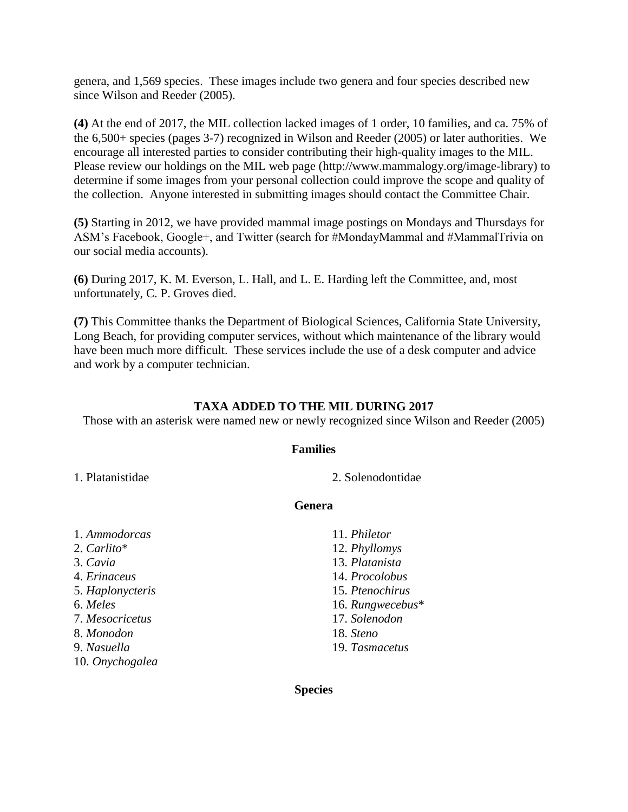genera, and 1,569 species. These images include two genera and four species described new since Wilson and Reeder (2005).

**(4)** At the end of 2017, the MIL collection lacked images of 1 order, 10 families, and ca. 75% of the 6,500+ species (pages 3-7) recognized in Wilson and Reeder (2005) or later authorities. We encourage all interested parties to consider contributing their high-quality images to the MIL. Please review our holdings on the MIL web page (http://www.mammalogy.org/image-library) to determine if some images from your personal collection could improve the scope and quality of the collection. Anyone interested in submitting images should contact the Committee Chair.

**(5)** Starting in 2012, we have provided mammal image postings on Mondays and Thursdays for ASM's Facebook, Google+, and Twitter (search for #MondayMammal and #MammalTrivia on our social media accounts).

**(6)** During 2017, K. M. Everson, L. Hall, and L. E. Harding left the Committee, and, most unfortunately, C. P. Groves died.

**(7)** This Committee thanks the Department of Biological Sciences, California State University, Long Beach, for providing computer services, without which maintenance of the library would have been much more difficult. These services include the use of a desk computer and advice and work by a computer technician.

### **TAXA ADDED TO THE MIL DURING 2017**

Those with an asterisk were named new or newly recognized since Wilson and Reeder (2005)

### **Families**

1. Platanistidae 2. Solenodontidae

### **Genera**

| 1. Ammodorcas    | 11. Philetor     |
|------------------|------------------|
| 2. Carlito*      | 12. Phyllomys    |
| 3. Cavia         | 13. Platanista   |
| 4. Erinaceus     | 14. Procolobus   |
| 5. Haplonycteris | 15. Ptenochirus  |
| 6. Meles         | 16. Rungwecebus* |
| 7. Mesocricetus  | 17. Solenodon    |
| 8. Monodon       | 18. Steno        |
| 9. Nasuella      | 19. Tasmacetus   |
| 10. Onychogalea  |                  |

**Species**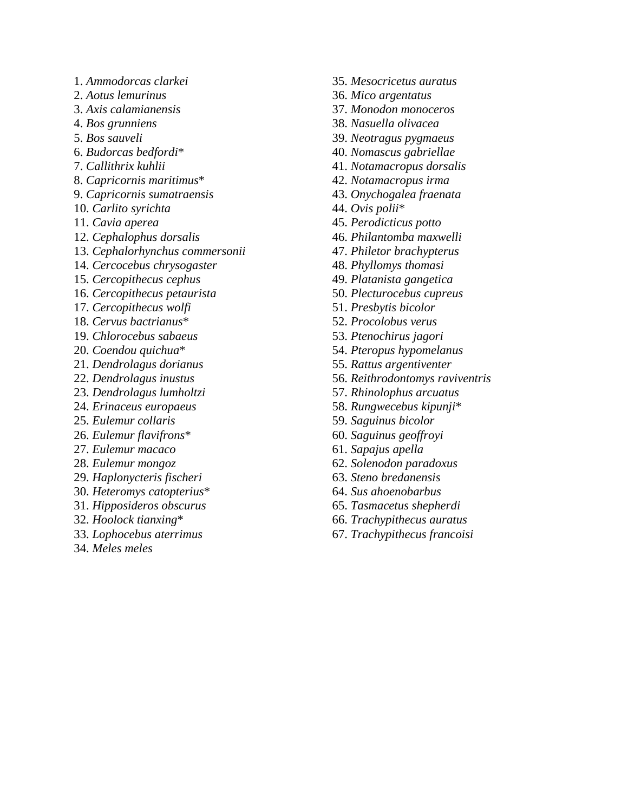- 1. *Ammodorcas clarkei*
- 2. *Aotus lemurinus*
- 3. *Axis calamianensis*
- 4. *Bos grunniens*
- 5. *Bos sauveli*
- 6. *Budorcas bedfordi*\*
- 7. *Callithrix kuhlii*
- 8. *Capricornis maritimus*\*
- 9. *Capricornis sumatraensis*
- 10. *Carlito syrichta*
- 11. *Cavia aperea*
- 12. *Cephalophus dorsalis*
- 13. *Cephalorhynchus commersonii*
- 14. *Cercocebus chrysogaster*
- 15. *Cercopithecus cephus*
- 16. *Cercopithecus petaurista*
- 17. *Cercopithecus wolfi*
- 18. *Cervus bactrianus*\*
- 19. *Chlorocebus sabaeus*
- 20. *Coendou quichua*\*
- 21. *Dendrolagus dorianus*
- 22. *Dendrolagus inustus*
- 23. *Dendrolagus lumholtzi*
- 24. *Erinaceus europaeus*
- 25. *Eulemur collaris*
- 26. *Eulemur flavifrons*\*
- 27. *Eulemur macaco*
- 28. *Eulemur mongoz*
- 29. *Haplonycteris fischeri*
- 30. *Heteromys catopterius*\*
- 31. *Hipposideros obscurus*
- 32. *Hoolock tianxing*\*
- 33. *Lophocebus aterrimus*
- 34. *Meles meles*
- 35. *Mesocricetus auratus*
- 36. *Mico argentatus*
- 37. *Monodon monoceros*
- 38. *Nasuella olivacea*
- 39. *Neotragus pygmaeus*
- 40. *Nomascus gabriellae*
- 41. *Notamacropus dorsalis*
- 42. *Notamacropus irma*
- 43. *Onychogalea fraenata*
- 44. *Ovis polii*\*
- 45. *Perodicticus potto*
- 46. *Philantomba maxwelli*
- 47. *Philetor brachypterus*
- 48. *Phyllomys thomasi*
- 49. *Platanista gangetica*
- 50. *Plecturocebus cupreus*
- 51. *Presbytis bicolor*
- 52. *Procolobus verus*
- 53. *Ptenochirus jagori*
- 54. *Pteropus hypomelanus*
- 55. *Rattus argentiventer*
- 56. *Reithrodontomys raviventris*
- 57. *Rhinolophus arcuatus*
- 58. *Rungwecebus kipunji*\*
- 59. *Saguinus bicolor*
- 60. *Saguinus geoffroyi*
- 61. *Sapajus apella*
- 62. *Solenodon paradoxus*
- 63. *Steno bredanensis*
- 64. *Sus ahoenobarbus*
- 65. *Tasmacetus shepherdi*
- 66. *Trachypithecus auratus*
- 67. *Trachypithecus francoisi*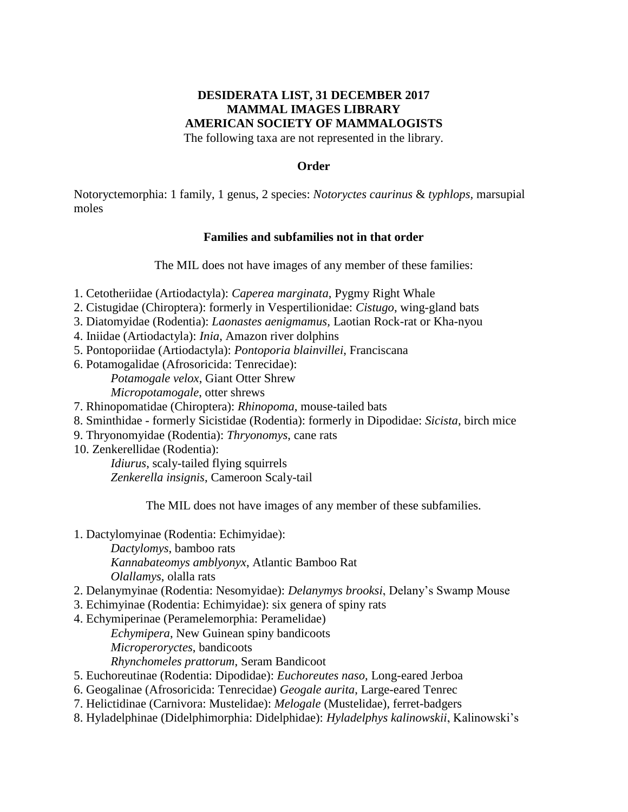### **DESIDERATA LIST, 31 DECEMBER 2017 MAMMAL IMAGES LIBRARY AMERICAN SOCIETY OF MAMMALOGISTS** The following taxa are not represented in the library.

**Order**

Notoryctemorphia: 1 family, 1 genus, 2 species: *Notoryctes caurinus* & *typhlops,* marsupial moles

### **Families and subfamilies not in that order**

The MIL does not have images of any member of these families:

- 1. Cetotheriidae (Artiodactyla): *Caperea marginata*, Pygmy Right Whale
- 2. Cistugidae (Chiroptera): formerly in Vespertilionidae: *Cistugo*, wing-gland bats
- 3. Diatomyidae (Rodentia): *Laonastes aenigmamus,* Laotian Rock-rat or Kha-nyou
- 4. Iniidae (Artiodactyla): *Inia*, Amazon river dolphins
- 5. Pontoporiidae (Artiodactyla): *Pontoporia blainvillei*, Franciscana
- 6. Potamogalidae (Afrosoricida: Tenrecidae): *Potamogale velox*, Giant Otter Shrew *Micropotamogale*, otter shrews
- 7. Rhinopomatidae (Chiroptera): *Rhinopoma*, mouse-tailed bats
- 8. Sminthidae formerly Sicistidae (Rodentia): formerly in Dipodidae: *Sicista*, birch mice
- 9. Thryonomyidae (Rodentia): *Thryonomys*, cane rats
- 10. Zenkerellidae (Rodentia):

*Idiurus*, scaly-tailed flying squirrels *Zenkerella insignis*, Cameroon Scaly-tail

The MIL does not have images of any member of these subfamilies.

- 1. Dactylomyinae (Rodentia: Echimyidae):
	- *Dactylomys*, bamboo rats

*Kannabateomys amblyonyx*, Atlantic Bamboo Rat *Olallamys*, olalla rats

- 2. Delanymyinae (Rodentia: Nesomyidae): *Delanymys brooksi*, Delany's Swamp Mouse
- 3. Echimyinae (Rodentia: Echimyidae): six genera of spiny rats
- 4. Echymiperinae (Peramelemorphia: Peramelidae)
	- *Echymipera*, New Guinean spiny bandicoots *Microperoryctes*, bandicoots *Rhynchomeles prattorum*, Seram Bandicoot
- 5. Euchoreutinae (Rodentia: Dipodidae): *Euchoreutes naso*, Long-eared Jerboa
- 6. Geogalinae (Afrosoricida: Tenrecidae) *Geogale aurita*, Large-eared Tenrec
- 7. Helictidinae (Carnivora: Mustelidae): *Melogale* (Mustelidae), ferret-badgers
- 8. Hyladelphinae (Didelphimorphia: Didelphidae): *Hyladelphys kalinowskii*, Kalinowski's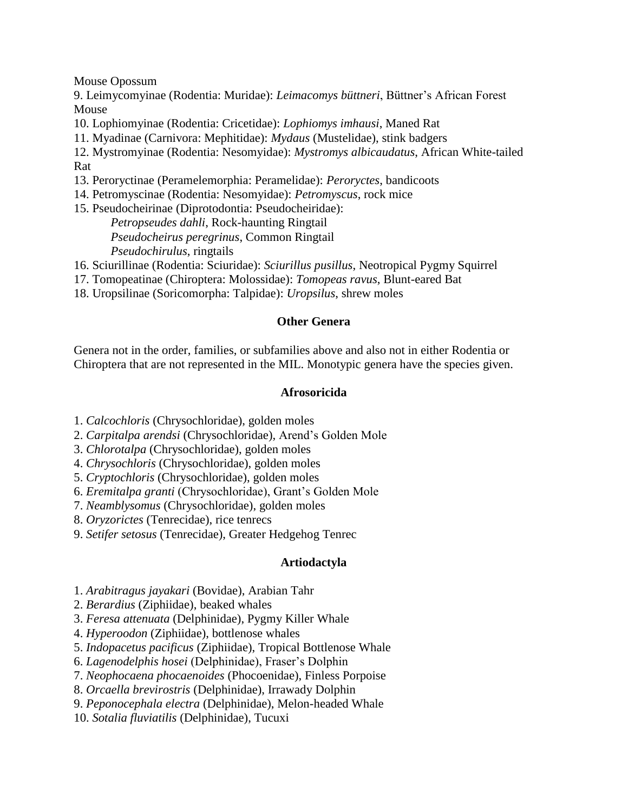Mouse Opossum

9. Leimycomyinae (Rodentia: Muridae): *Leimacomys büttneri*, Büttner's African Forest Mouse

10. Lophiomyinae (Rodentia: Cricetidae): *Lophiomys imhausi*, Maned Rat

11. Myadinae (Carnivora: Mephitidae): *Mydaus* (Mustelidae), stink badgers

12. Mystromyinae (Rodentia: Nesomyidae): *Mystromys albicaudatus*, African White-tailed Rat

- 13. Peroryctinae (Peramelemorphia: Peramelidae): *Peroryctes*, bandicoots
- 14. Petromyscinae (Rodentia: Nesomyidae): *Petromyscus*, rock mice
- 15. Pseudocheirinae (Diprotodontia: Pseudocheiridae): *Petropseudes dahli*, Rock-haunting Ringtail *Pseudocheirus peregrinus*, Common Ringtail

*Pseudochirulus*, ringtails

16. Sciurillinae (Rodentia: Sciuridae): *Sciurillus pusillus*, Neotropical Pygmy Squirrel

- 17. Tomopeatinae (Chiroptera: Molossidae): *Tomopeas ravus*, Blunt-eared Bat
- 18. Uropsilinae (Soricomorpha: Talpidae): *Uropsilus*, shrew moles

### **Other Genera**

Genera not in the order, families, or subfamilies above and also not in either Rodentia or Chiroptera that are not represented in the MIL. Monotypic genera have the species given.

### **Afrosoricida**

- 1. *Calcochloris* (Chrysochloridae), golden moles
- 2. *Carpitalpa arendsi* (Chrysochloridae), Arend's Golden Mole
- 3. *Chlorotalpa* (Chrysochloridae), golden moles
- 4. *Chrysochloris* (Chrysochloridae), golden moles
- 5. *Cryptochloris* (Chrysochloridae), golden moles
- 6. *Eremitalpa granti* (Chrysochloridae), Grant's Golden Mole

7. *Neamblysomus* (Chrysochloridae), golden moles

- 8. *Oryzorictes* (Tenrecidae), rice tenrecs
- 9. *Setifer setosus* (Tenrecidae), Greater Hedgehog Tenrec

### **Artiodactyla**

- 1. *Arabitragus jayakari* (Bovidae), Arabian Tahr
- 2. *Berardius* (Ziphiidae), beaked whales
- 3. *Feresa attenuata* (Delphinidae), Pygmy Killer Whale
- 4. *Hyperoodon* (Ziphiidae), bottlenose whales
- 5. *Indopacetus pacificus* (Ziphiidae), Tropical Bottlenose Whale
- 6. *Lagenodelphis hosei* (Delphinidae), Fraser's Dolphin
- 7. *Neophocaena phocaenoides* (Phocoenidae), Finless Porpoise
- 8. *Orcaella brevirostris* (Delphinidae), Irrawady Dolphin
- 9. *Peponocephala electra* (Delphinidae), Melon-headed Whale
- 10. *Sotalia fluviatilis* (Delphinidae), Tucuxi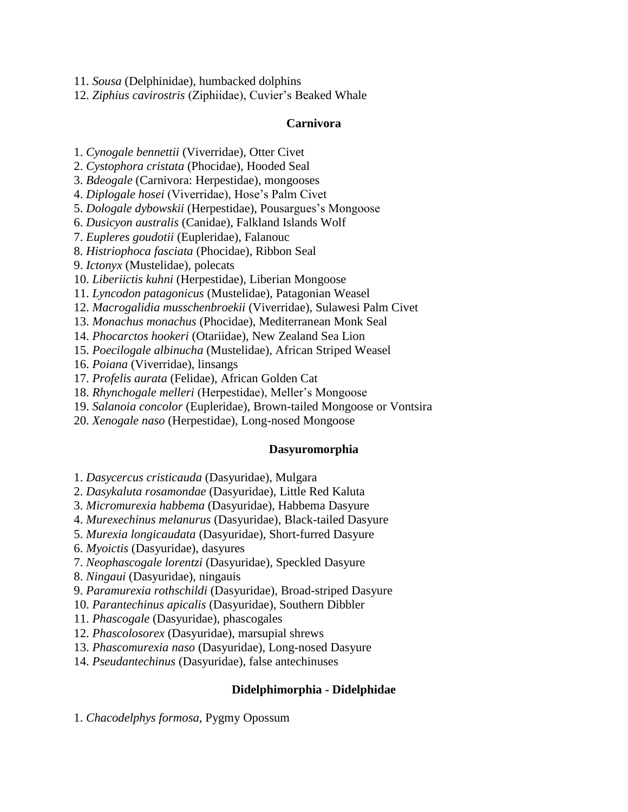11. *Sousa* (Delphinidae), humbacked dolphins

12. *Ziphius cavirostris* (Ziphiidae), Cuvier's Beaked Whale

### **Carnivora**

1. *Cynogale bennettii* (Viverridae), Otter Civet

2. *Cystophora cristata* (Phocidae), Hooded Seal

3. *Bdeogale* (Carnivora: Herpestidae), mongooses

4. *Diplogale hosei* (Viverridae), Hose's Palm Civet

5. *Dologale dybowskii* (Herpestidae), Pousargues's Mongoose

6. *Dusicyon australis* (Canidae), Falkland Islands Wolf

7. *Eupleres goudotii* (Eupleridae), Falanouc

8. *Histriophoca fasciata* (Phocidae), Ribbon Seal

9. *Ictonyx* (Mustelidae), polecats

10. *Liberiictis kuhni* (Herpestidae), Liberian Mongoose

11. *Lyncodon patagonicus* (Mustelidae), Patagonian Weasel

12. *Macrogalidia musschenbroekii* (Viverridae), Sulawesi Palm Civet

13. *Monachus monachus* (Phocidae), Mediterranean Monk Seal

14. *Phocarctos hookeri* (Otariidae), New Zealand Sea Lion

15. *Poecilogale albinucha* (Mustelidae), African Striped Weasel

16. *Poiana* (Viverridae), linsangs

17. *Profelis aurata* (Felidae), African Golden Cat

18. *Rhynchogale melleri* (Herpestidae), Meller's Mongoose

19. *Salanoia concolor* (Eupleridae), Brown-tailed Mongoose or Vontsira

20. *Xenogale naso* (Herpestidae), Long-nosed Mongoose

### **Dasyuromorphia**

1. *Dasycercus cristicauda* (Dasyuridae), Mulgara

2. *Dasykaluta rosamondae* (Dasyuridae), Little Red Kaluta

3. *Micromurexia habbema* (Dasyuridae), Habbema Dasyure

4. *Murexechinus melanurus* (Dasyuridae), Black-tailed Dasyure

5. *Murexia longicaudata* (Dasyuridae), Short-furred Dasyure

6. *Myoictis* (Dasyuridae), dasyures

7. *Neophascogale lorentzi* (Dasyuridae), Speckled Dasyure

8. *Ningaui* (Dasyuridae), ningauis

9. *Paramurexia rothschildi* (Dasyuridae), Broad-striped Dasyure

10. *Parantechinus apicalis* (Dasyuridae), Southern Dibbler

11. *Phascogale* (Dasyuridae), phascogales

12. *Phascolosorex* (Dasyuridae), marsupial shrews

13. *Phascomurexia naso* (Dasyuridae), Long-nosed Dasyure

14. *Pseudantechinus* (Dasyuridae), false antechinuses

### **Didelphimorphia - Didelphidae**

1. *Chacodelphys formosa*, Pygmy Opossum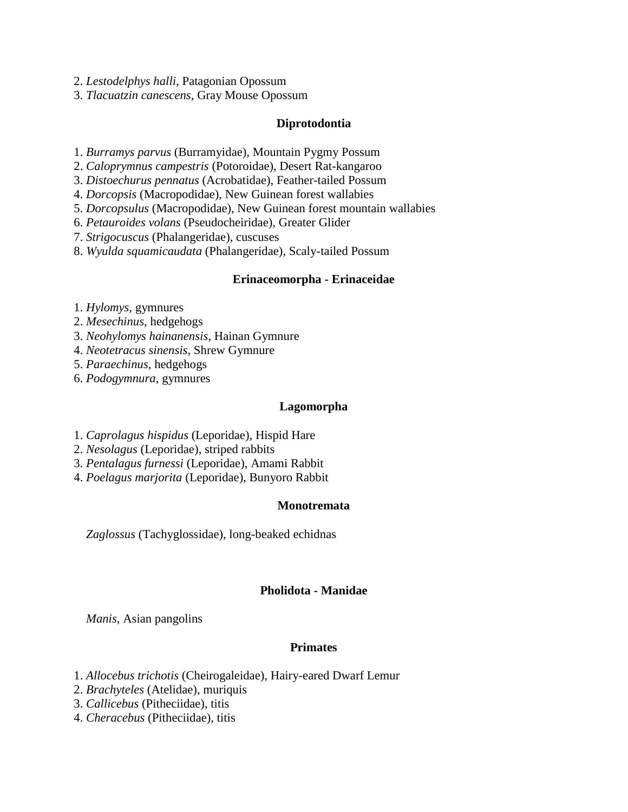2. *Lestodelphys halli*, Patagonian Opossum

3. *Tlacuatzin canescens*, Gray Mouse Opossum

### **Diprotodontia**

- 1. *Burramys parvus* (Burramyidae), Mountain Pygmy Possum
- 2. *Caloprymnus campestris* (Potoroidae), Desert Rat-kangaroo
- 3. *Distoechurus pennatus* (Acrobatidae), Feather-tailed Possum
- 4. *Dorcopsis* (Macropodidae), New Guinean forest wallabies
- 5. *Dorcopsulus* (Macropodidae), New Guinean forest mountain wallabies
- 6. *Petauroides volans* (Pseudocheiridae), Greater Glider
- 7. *Strigocuscus* (Phalangeridae), cuscuses
- 8. *Wyulda squamicaudata* (Phalangeridae), Scaly-tailed Possum

### **Erinaceomorpha - Erinaceidae**

- 1. *Hylomys*, gymnures
- 2. *Mesechinus*, hedgehogs
- 3. *Neohylomys hainanensis*, Hainan Gymnure
- 4. *Neotetracus sinensis*, Shrew Gymnure
- 5. *Paraechinus*, hedgehogs
- 6. *Podogymnura*, gymnures

### **Lagomorpha**

- 1. *Caprolagus hispidus* (Leporidae), Hispid Hare
- 2. *Nesolagus* (Leporidae), striped rabbits
- 3. *Pentalagus furnessi* (Leporidae), Amami Rabbit
- 4. *Poelagus marjorita* (Leporidae), Bunyoro Rabbit

### **Monotremata**

 *Zaglossus* (Tachyglossidae), long-beaked echidnas

### **Pholidota - Manidae**

 *Manis*, Asian pangolins

### **Primates**

- 1. *Allocebus trichotis* (Cheirogaleidae), Hairy-eared Dwarf Lemur
- 2. *Brachyteles* (Atelidae), muriquis
- 3. *Callicebus* (Pitheciidae), titis
- 4. *Cheracebus* (Pitheciidae), titis